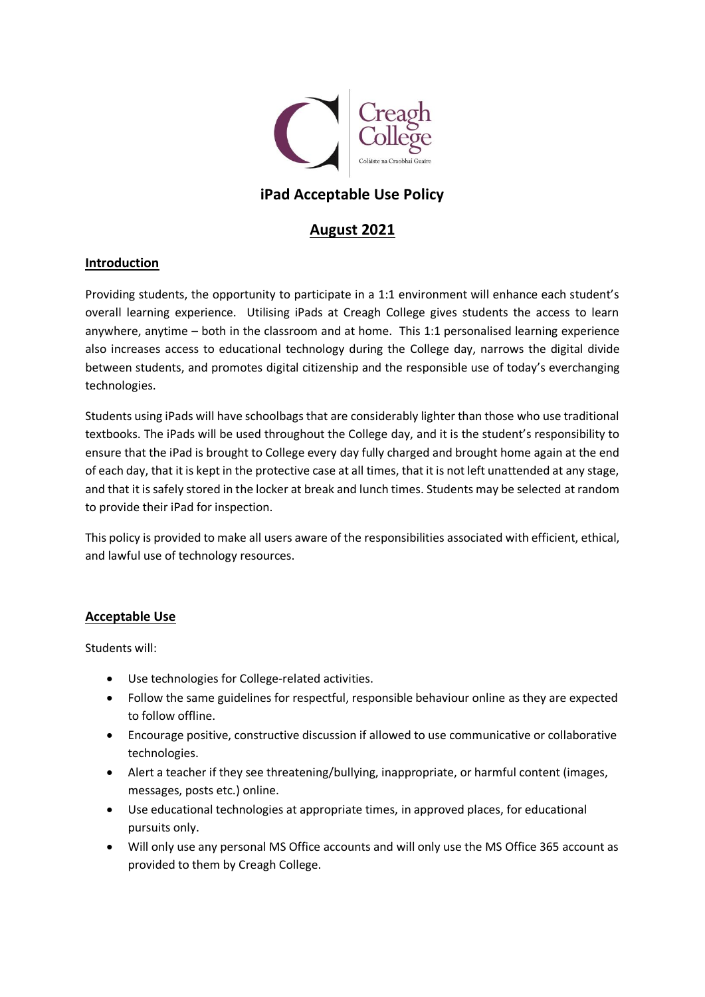

# **iPad Acceptable Use Policy**

# **August 2021**

## **Introduction**

Providing students, the opportunity to participate in a 1:1 environment will enhance each student's overall learning experience. Utilising iPads at Creagh College gives students the access to learn anywhere, anytime – both in the classroom and at home. This 1:1 personalised learning experience also increases access to educational technology during the College day, narrows the digital divide between students, and promotes digital citizenship and the responsible use of today's everchanging technologies.

Students using iPads will have schoolbags that are considerably lighter than those who use traditional textbooks. The iPads will be used throughout the College day, and it is the student's responsibility to ensure that the iPad is brought to College every day fully charged and brought home again at the end of each day, that it is kept in the protective case at all times, that it is not left unattended at any stage, and that it is safely stored in the locker at break and lunch times. Students may be selected at random to provide their iPad for inspection.

This policy is provided to make all users aware of the responsibilities associated with efficient, ethical, and lawful use of technology resources.

## **Acceptable Use**

Students will:

- Use technologies for College-related activities.
- Follow the same guidelines for respectful, responsible behaviour online as they are expected to follow offline.
- Encourage positive, constructive discussion if allowed to use communicative or collaborative technologies.
- Alert a teacher if they see threatening/bullying, inappropriate, or harmful content (images, messages, posts etc.) online.
- Use educational technologies at appropriate times, in approved places, for educational pursuits only.
- Will only use any personal MS Office accounts and will only use the MS Office 365 account as provided to them by Creagh College.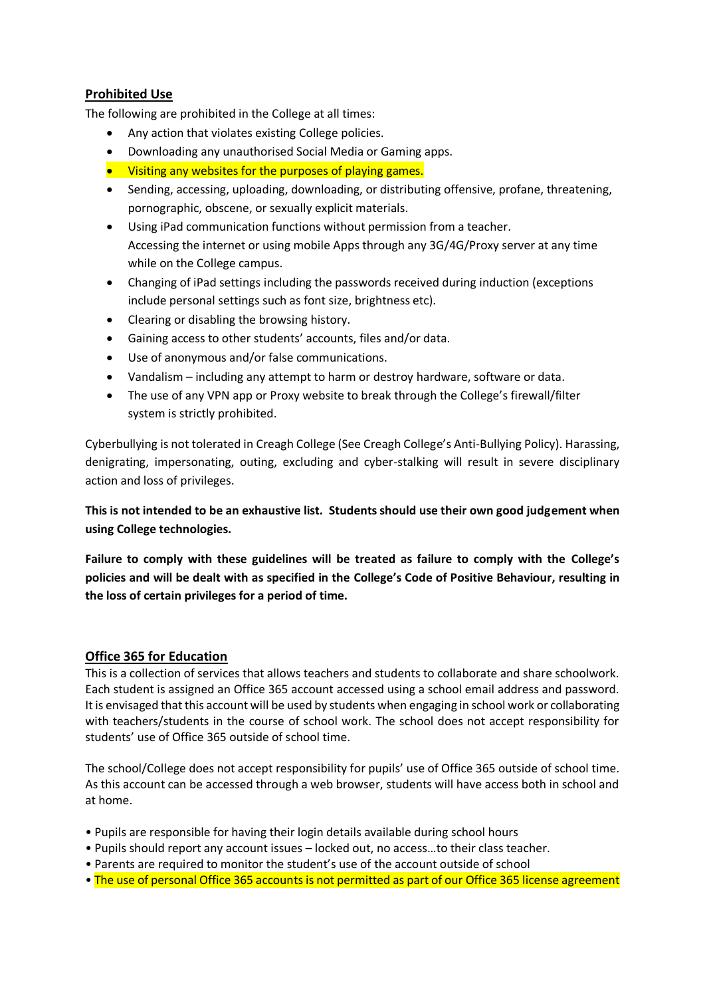# **Prohibited Use**

The following are prohibited in the College at all times:

- Any action that violates existing College policies.
- Downloading any unauthorised Social Media or Gaming apps.
- Visiting any websites for the purposes of playing games.
- Sending, accessing, uploading, downloading, or distributing offensive, profane, threatening, pornographic, obscene, or sexually explicit materials.
- Using iPad communication functions without permission from a teacher. Accessing the internet or using mobile Apps through any 3G/4G/Proxy server at any time while on the College campus.
- Changing of iPad settings including the passwords received during induction (exceptions include personal settings such as font size, brightness etc).
- Clearing or disabling the browsing history.
- Gaining access to other students' accounts, files and/or data.
- Use of anonymous and/or false communications.
- Vandalism including any attempt to harm or destroy hardware, software or data.
- The use of any VPN app or Proxy website to break through the College's firewall/filter system is strictly prohibited.

Cyberbullying is not tolerated in Creagh College (See Creagh College's Anti-Bullying Policy). Harassing, denigrating, impersonating, outing, excluding and cyber-stalking will result in severe disciplinary action and loss of privileges.

**This is not intended to be an exhaustive list. Students should use their own good judgement when using College technologies.**

**Failure to comply with these guidelines will be treated as failure to comply with the College's policies and will be dealt with as specified in the College's Code of Positive Behaviour, resulting in the loss of certain privileges for a period of time.**

## **Office 365 for Education**

This is a collection of services that allows teachers and students to collaborate and share schoolwork. Each student is assigned an Office 365 account accessed using a school email address and password. It is envisaged that this account will be used by students when engaging in school work or collaborating with teachers/students in the course of school work. The school does not accept responsibility for students' use of Office 365 outside of school time.

The school/College does not accept responsibility for pupils' use of Office 365 outside of school time. As this account can be accessed through a web browser, students will have access both in school and at home.

- Pupils are responsible for having their login details available during school hours
- Pupils should report any account issues locked out, no access…to their class teacher.
- Parents are required to monitor the student's use of the account outside of school
- The use of personal Office 365 accounts is not permitted as part of our Office 365 license agreement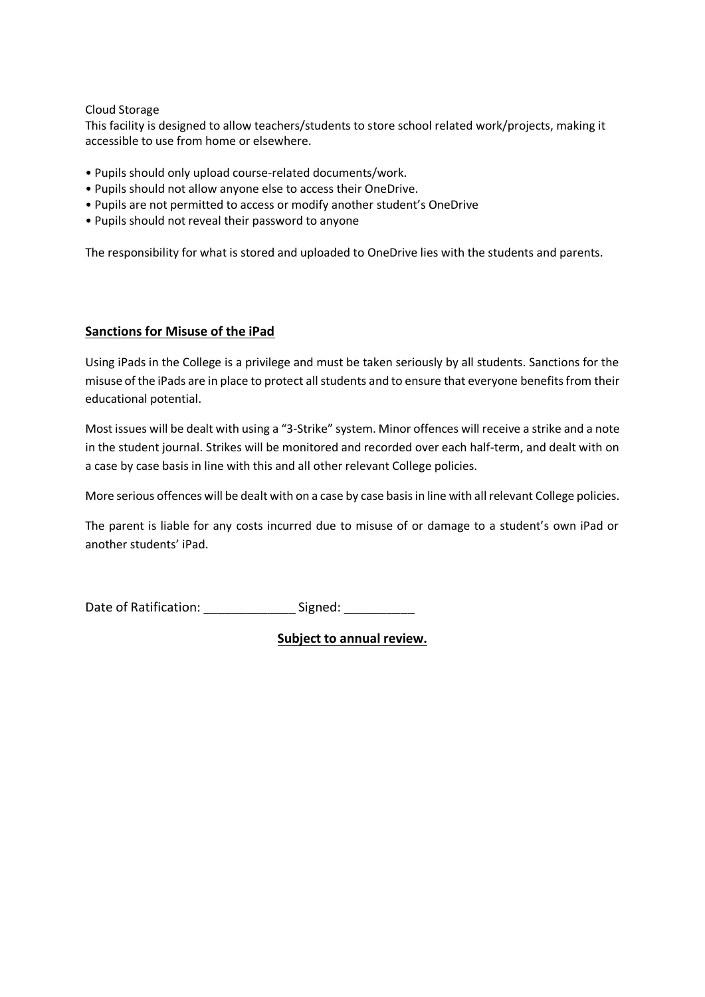Cloud Storage

This facility is designed to allow teachers/students to store school related work/projects, making it accessible to use from home or elsewhere.

- Pupils should only upload course-related documents/work.
- Pupils should not allow anyone else to access their OneDrive.
- Pupils are not permitted to access or modify another student's OneDrive
- Pupils should not reveal their password to anyone

The responsibility for what is stored and uploaded to OneDrive lies with the students and parents.

#### **Sanctions for Misuse of the iPad**

Using iPads in the College is a privilege and must be taken seriously by all students. Sanctions for the misuse of the iPads are in place to protect all students and to ensure that everyone benefits from their educational potential.

Most issues will be dealt with using a "3-Strike" system. Minor offences will receive a strike and a note in the student journal. Strikes will be monitored and recorded over each half-term, and dealt with on a case by case basis in line with this and all other relevant College policies.

More serious offences will be dealt with on a case by case basis in line with all relevant College policies.

The parent is liable for any costs incurred due to misuse of or damage to a student's own iPad or another students' iPad.

Date of Ratification: \_\_\_\_\_\_\_\_\_\_\_\_\_\_\_\_\_\_Signed: \_\_\_\_\_\_\_\_\_\_\_\_\_

**Subject to annual review.**